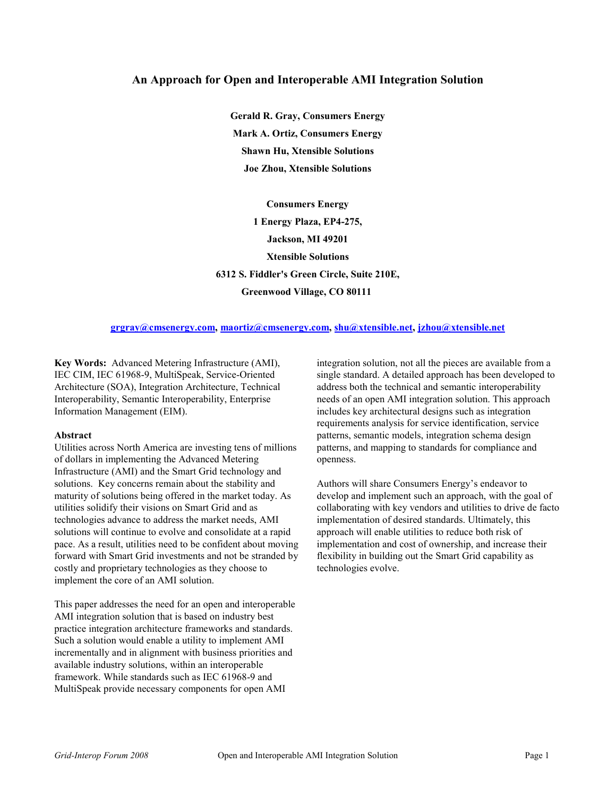# **An Approach for Open and Interoperable AMI Integration Solution**

**Gerald R. Gray, Consumers Energy Mark A. Ortiz, Consumers Energy Shawn Hu, Xtensible Solutions Joe Zhou, Xtensible Solutions** 

**Consumers Energy 1 Energy Plaza, EP4-275, Jackson, MI 49201 Xtensible Solutions 6312 S. Fiddler's Green Circle, Suite 210E, Greenwood Village, CO 80111** 

## **grgray@cmsenergy.com, maortiz@cmsenergy.com, shu@xtensible.net, jzhou@xtensible.net**

**Key Words:** Advanced Metering Infrastructure (AMI), IEC CIM, IEC 61968-9, MultiSpeak, Service-Oriented Architecture (SOA), Integration Architecture, Technical Interoperability, Semantic Interoperability, Enterprise Information Management (EIM).

#### **Abstract**

Utilities across North America are investing tens of millions of dollars in implementing the Advanced Metering Infrastructure (AMI) and the Smart Grid technology and solutions. Key concerns remain about the stability and maturity of solutions being offered in the market today. As utilities solidify their visions on Smart Grid and as technologies advance to address the market needs, AMI solutions will continue to evolve and consolidate at a rapid pace. As a result, utilities need to be confident about moving forward with Smart Grid investments and not be stranded by costly and proprietary technologies as they choose to implement the core of an AMI solution.

This paper addresses the need for an open and interoperable AMI integration solution that is based on industry best practice integration architecture frameworks and standards. Such a solution would enable a utility to implement AMI incrementally and in alignment with business priorities and available industry solutions, within an interoperable framework. While standards such as IEC 61968-9 and MultiSpeak provide necessary components for open AMI

integration solution, not all the pieces are available from a single standard. A detailed approach has been developed to address both the technical and semantic interoperability needs of an open AMI integration solution. This approach includes key architectural designs such as integration requirements analysis for service identification, service patterns, semantic models, integration schema design patterns, and mapping to standards for compliance and openness.

Authors will share Consumers Energy's endeavor to develop and implement such an approach, with the goal of collaborating with key vendors and utilities to drive de facto implementation of desired standards. Ultimately, this approach will enable utilities to reduce both risk of implementation and cost of ownership, and increase their flexibility in building out the Smart Grid capability as technologies evolve.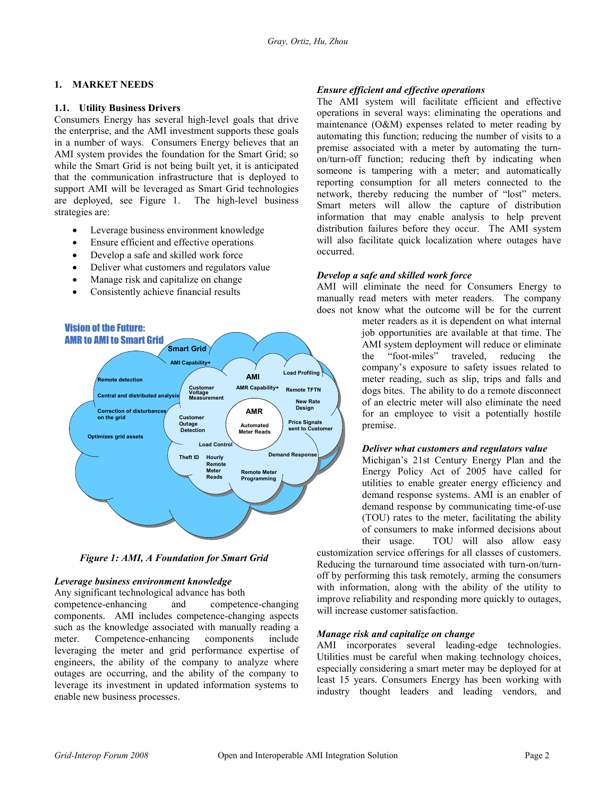# **1. MARKET NEEDS**

## **1.1. Utility Business Drivers**

Consumers Energy has several high-level goals that drive the enterprise, and the AMI investment supports these goals in a number of ways. Consumers Energy believes that an AMI system provides the foundation for the Smart Grid; so while the Smart Grid is not being built yet, it is anticipated that the communication infrastructure that is deployed to support AMI will be leveraged as Smart Grid technologies are deployed, see Figure 1. The high-level business strategies are:

- Leverage business environment knowledge
- Ensure efficient and effective operations
- Develop a safe and skilled work force
- Deliver what customers and regulators value
- Manage risk and capitalize on change
- Consistently achieve financial results



 *Figure 1: AMI, A Foundation for Smart Grid* 

# *Leverage business environment knowledge*

Any significant technological advance has both

competence-enhancing and competence-changing components. AMI includes competence-changing aspects such as the knowledge associated with manually reading a meter. Competence-enhancing components include leveraging the meter and grid performance expertise of engineers, the ability of the company to analyze where outages are occurring, and the ability of the company to leverage its investment in updated information systems to enable new business processes.

# *Ensure efficient and effective operations*

The AMI system will facilitate efficient and effective operations in several ways: eliminating the operations and maintenance (O&M) expenses related to meter reading by automating this function; reducing the number of visits to a premise associated with a meter by automating the turnon/turn-off function; reducing theft by indicating when someone is tampering with a meter; and automatically reporting consumption for all meters connected to the network, thereby reducing the number of "lost" meters. Smart meters will allow the capture of distribution information that may enable analysis to help prevent distribution failures before they occur. The AMI system will also facilitate quick localization where outages have occurred.

#### *Develop a safe and skilled work force*

AMI will eliminate the need for Consumers Energy to manually read meters with meter readers. The company does not know what the outcome will be for the current

meter readers as it is dependent on what internal job opportunities are available at that time. The AMI system deployment will reduce or eliminate the "foot-miles" traveled, reducing the company's exposure to safety issues related to meter reading, such as slip, trips and falls and dogs bites. The ability to do a remote disconnect of an electric meter will also eliminate the need for an employee to visit a potentially hostile premise.

# *Deliver what customers and regulators value*

Michigan's 21st Century Energy Plan and the Energy Policy Act of 2005 have called for utilities to enable greater energy efficiency and demand response systems. AMI is an enabler of demand response by communicating time-of-use (TOU) rates to the meter, facilitating the ability of consumers to make informed decisions about their usage. TOU will also allow easy

customization service offerings for all classes of customers. Reducing the turnaround time associated with turn-on/turnoff by performing this task remotely, arming the consumers with information, along with the ability of the utility to improve reliability and responding more quickly to outages, will increase customer satisfaction.

# *Manage risk and capitalize on change*

AMI incorporates several leading-edge technologies. Utilities must be careful when making technology choices, especially considering a smart meter may be deployed for at least 15 years. Consumers Energy has been working with industry thought leaders and leading vendors, and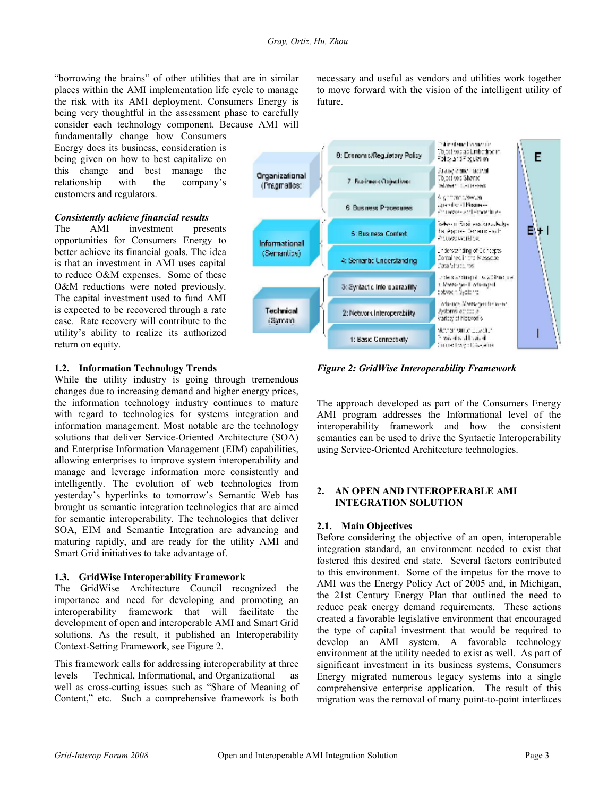"borrowing the brains" of other utilities that are in similar places within the AMI implementation life cycle to manage the risk with its AMI deployment. Consumers Energy is being very thoughtful in the assessment phase to carefully consider each technology component. Because AMI will

fundamentally change how Consumers Energy does its business, consideration is being given on how to best capitalize on this change and best manage the relationship with the company's customers and regulators.

#### *Consistently achieve financial results*

The AMI investment presents opportunities for Consumers Energy to better achieve its financial goals. The idea is that an investment in AMI uses capital to reduce O&M expenses. Some of these O&M reductions were noted previously. The capital investment used to fund AMI is expected to be recovered through a rate case. Rate recovery will contribute to the utility's ability to realize its authorized return on equity.

#### **1.2. Information Technology Trends**

While the utility industry is going through tremendous changes due to increasing demand and higher energy prices, the information technology industry continues to mature with regard to technologies for systems integration and information management. Most notable are the technology solutions that deliver Service-Oriented Architecture (SOA) and Enterprise Information Management (EIM) capabilities, allowing enterprises to improve system interoperability and manage and leverage information more consistently and intelligently. The evolution of web technologies from yesterday's hyperlinks to tomorrow's Semantic Web has brought us semantic integration technologies that are aimed for semantic interoperability. The technologies that deliver SOA, EIM and Semantic Integration are advancing and maturing rapidly, and are ready for the utility AMI and Smart Grid initiatives to take advantage of.

#### **1.3. GridWise Interoperability Framework**

The GridWise Architecture Council recognized the importance and need for developing and promoting an interoperability framework that will facilitate the development of open and interoperable AMI and Smart Grid solutions. As the result, it published an Interoperability Context-Setting Framework, see Figure 2.

This framework calls for addressing interoperability at three levels — Technical, Informational, and Organizational — as well as cross-cutting issues such as "Share of Meaning of Content," etc. Such a comprehensive framework is both

necessary and useful as vendors and utilities work together to move forward with the vision of the intelligent utility of future.



*Figure 2: GridWise Interoperability Framework*

The approach developed as part of the Consumers Energy AMI program addresses the Informational level of the interoperability framework and how the consistent semantics can be used to drive the Syntactic Interoperability using Service-Oriented Architecture technologies.

#### **2. AN OPEN AND INTEROPERABLE AMI INTEGRATION SOLUTION**

#### **2.1. Main Objectives**

Before considering the objective of an open, interoperable integration standard, an environment needed to exist that fostered this desired end state. Several factors contributed to this environment. Some of the impetus for the move to AMI was the Energy Policy Act of 2005 and, in Michigan, the 21st Century Energy Plan that outlined the need to reduce peak energy demand requirements. These actions created a favorable legislative environment that encouraged the type of capital investment that would be required to develop an AMI system. A favorable technology environment at the utility needed to exist as well. As part of significant investment in its business systems, Consumers Energy migrated numerous legacy systems into a single comprehensive enterprise application. The result of this migration was the removal of many point-to-point interfaces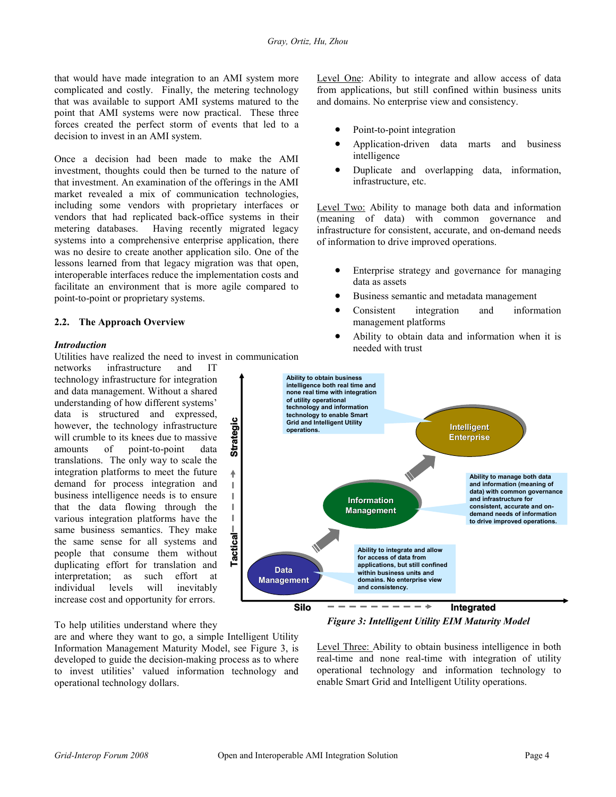that would have made integration to an AMI system more complicated and costly. Finally, the metering technology that was available to support AMI systems matured to the point that AMI systems were now practical. These three forces created the perfect storm of events that led to a decision to invest in an AMI system.

Once a decision had been made to make the AMI investment, thoughts could then be turned to the nature of that investment. An examination of the offerings in the AMI market revealed a mix of communication technologies, including some vendors with proprietary interfaces or vendors that had replicated back-office systems in their metering databases. Having recently migrated legacy systems into a comprehensive enterprise application, there was no desire to create another application silo. One of the lessons learned from that legacy migration was that open, interoperable interfaces reduce the implementation costs and facilitate an environment that is more agile compared to point-to-point or proprietary systems.

## **2.2. The Approach Overview**

#### *Introduction*

Utilities have realized the need to invest in communication

networks infrastructure and IT technology infrastructure for integration and data management. Without a shared understanding of how different systems' data is structured and expressed, however, the technology infrastructure will crumble to its knees due to massive amounts of point-to-point data translations. The only way to scale the integration platforms to meet the future demand for process integration and business intelligence needs is to ensure that the data flowing through the various integration platforms have the same business semantics. They make the same sense for all systems and people that consume them without duplicating effort for translation and interpretation; as such effort at individual levels will inevitably increase cost and opportunity for errors.

To help utilities understand where they

are and where they want to go, a simple Intelligent Utility Information Management Maturity Model, see Figure 3, is developed to guide the decision-making process as to where to invest utilities' valued information technology and operational technology dollars.

Level One: Ability to integrate and allow access of data from applications, but still confined within business units and domains. No enterprise view and consistency.

- Point-to-point integration
- Application-driven data marts and business intelligence
- Duplicate and overlapping data, information, infrastructure, etc.

Level Two: Ability to manage both data and information (meaning of data) with common governance and infrastructure for consistent, accurate, and on-demand needs of information to drive improved operations.

- Enterprise strategy and governance for managing data as assets
- Business semantic and metadata management
- Consistent integration and information management platforms
- Ability to obtain data and information when it is needed with trust



 *Figure 3: Intelligent Utility EIM Maturity Model* 

Level Three: Ability to obtain business intelligence in both real-time and none real-time with integration of utility operational technology and information technology to enable Smart Grid and Intelligent Utility operations.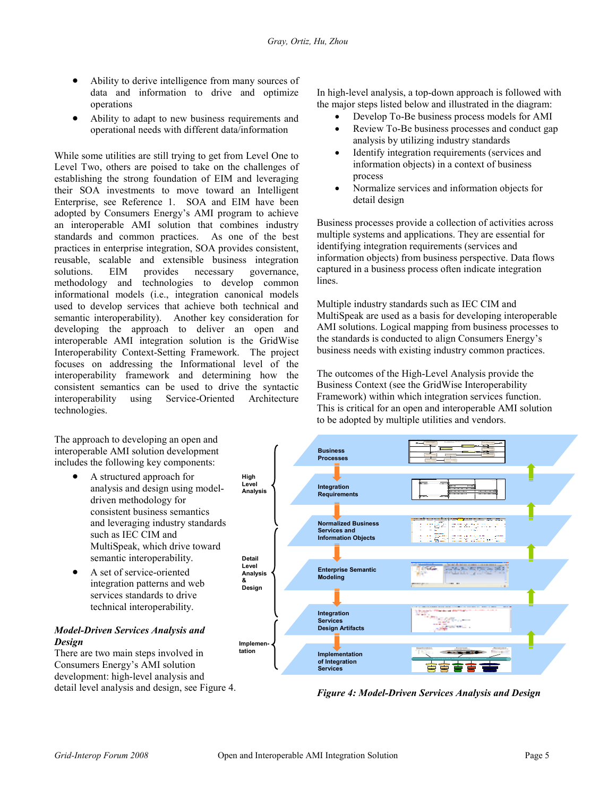- Ability to derive intelligence from many sources of data and information to drive and optimize operations
- Ability to adapt to new business requirements and operational needs with different data/information

While some utilities are still trying to get from Level One to Level Two, others are poised to take on the challenges of establishing the strong foundation of EIM and leveraging their SOA investments to move toward an Intelligent Enterprise, see Reference 1. SOA and EIM have been adopted by Consumers Energy's AMI program to achieve an interoperable AMI solution that combines industry standards and common practices. As one of the best practices in enterprise integration, SOA provides consistent, reusable, scalable and extensible business integration solutions. EIM provides necessary governance, methodology and technologies to develop common informational models (i.e., integration canonical models used to develop services that achieve both technical and semantic interoperability). Another key consideration for developing the approach to deliver an open and interoperable AMI integration solution is the GridWise Interoperability Context-Setting Framework. The project focuses on addressing the Informational level of the interoperability framework and determining how the consistent semantics can be used to drive the syntactic interoperability using Service-Oriented Architecture technologies.

The approach to developing an open and interoperable AMI solution development includes the following key components:

- A structured approach for analysis and design using modeldriven methodology for consistent business semantics and leveraging industry standards such as IEC CIM and MultiSpeak, which drive toward semantic interoperability.
- A set of service-oriented integration patterns and web services standards to drive technical interoperability.

# *Model-Driven Services Analysis and Design*

There are two main steps involved in Consumers Energy's AMI solution development: high-level analysis and detail level analysis and design, see Figure 4. In high-level analysis, a top-down approach is followed with the major steps listed below and illustrated in the diagram:

- Develop To-Be business process models for AMI
- Review To-Be business processes and conduct gap analysis by utilizing industry standards
- Identify integration requirements (services and information objects) in a context of business process
- Normalize services and information objects for detail design

Business processes provide a collection of activities across multiple systems and applications. They are essential for identifying integration requirements (services and information objects) from business perspective. Data flows captured in a business process often indicate integration lines.

Multiple industry standards such as IEC CIM and MultiSpeak are used as a basis for developing interoperable AMI solutions. Logical mapping from business processes to the standards is conducted to align Consumers Energy's business needs with existing industry common practices.

The outcomes of the High-Level Analysis provide the Business Context (see the GridWise Interoperability Framework) within which integration services function. This is critical for an open and interoperable AMI solution to be adopted by multiple utilities and vendors.



*Figure 4: Model-Driven Services Analysis and Design*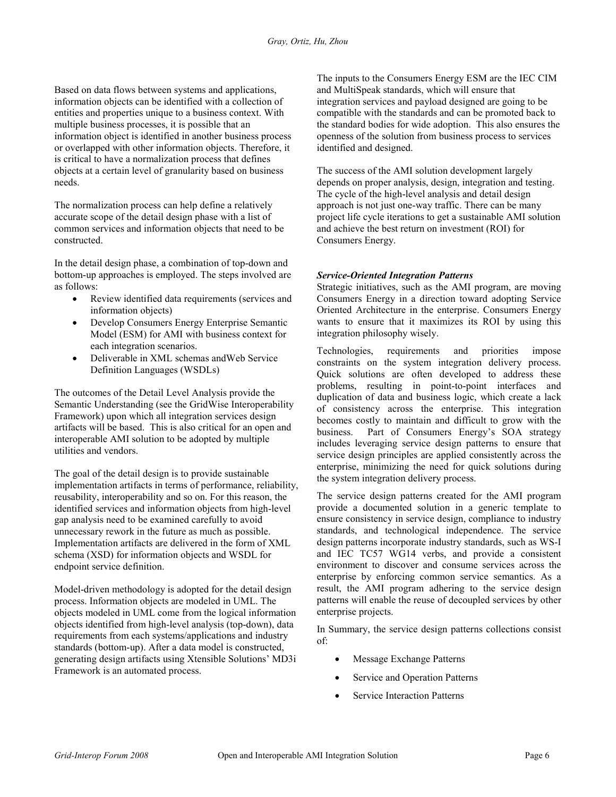Based on data flows between systems and applications, information objects can be identified with a collection of entities and properties unique to a business context. With multiple business processes, it is possible that an information object is identified in another business process or overlapped with other information objects. Therefore, it is critical to have a normalization process that defines objects at a certain level of granularity based on business needs.

The normalization process can help define a relatively accurate scope of the detail design phase with a list of common services and information objects that need to be constructed.

In the detail design phase, a combination of top-down and bottom-up approaches is employed. The steps involved are as follows:

- Review identified data requirements (services and information objects)
- Develop Consumers Energy Enterprise Semantic Model (ESM) for AMI with business context for each integration scenarios.
- Deliverable in XML schemas andWeb Service Definition Languages (WSDLs)

The outcomes of the Detail Level Analysis provide the Semantic Understanding (see the GridWise Interoperability Framework) upon which all integration services design artifacts will be based. This is also critical for an open and interoperable AMI solution to be adopted by multiple utilities and vendors.

The goal of the detail design is to provide sustainable implementation artifacts in terms of performance, reliability, reusability, interoperability and so on. For this reason, the identified services and information objects from high-level gap analysis need to be examined carefully to avoid unnecessary rework in the future as much as possible. Implementation artifacts are delivered in the form of XML schema (XSD) for information objects and WSDL for endpoint service definition.

Model-driven methodology is adopted for the detail design process. Information objects are modeled in UML. The objects modeled in UML come from the logical information objects identified from high-level analysis (top-down), data requirements from each systems/applications and industry standards (bottom-up). After a data model is constructed, generating design artifacts using Xtensible Solutions' MD3i Framework is an automated process.

The inputs to the Consumers Energy ESM are the IEC CIM and MultiSpeak standards, which will ensure that integration services and payload designed are going to be compatible with the standards and can be promoted back to the standard bodies for wide adoption. This also ensures the openness of the solution from business process to services identified and designed.

The success of the AMI solution development largely depends on proper analysis, design, integration and testing. The cycle of the high-level analysis and detail design approach is not just one-way traffic. There can be many project life cycle iterations to get a sustainable AMI solution and achieve the best return on investment (ROI) for Consumers Energy.

# *Service-Oriented Integration Patterns*

Strategic initiatives, such as the AMI program, are moving Consumers Energy in a direction toward adopting Service Oriented Architecture in the enterprise. Consumers Energy wants to ensure that it maximizes its ROI by using this integration philosophy wisely.

Technologies, requirements and priorities impose constraints on the system integration delivery process. Quick solutions are often developed to address these problems, resulting in point-to-point interfaces and duplication of data and business logic, which create a lack of consistency across the enterprise. This integration becomes costly to maintain and difficult to grow with the business. Part of Consumers Energy's SOA strategy Part of Consumers Energy's SOA strategy includes leveraging service design patterns to ensure that service design principles are applied consistently across the enterprise, minimizing the need for quick solutions during the system integration delivery process.

The service design patterns created for the AMI program provide a documented solution in a generic template to ensure consistency in service design, compliance to industry standards, and technological independence. The service design patterns incorporate industry standards, such as WS-I and IEC TC57 WG14 verbs, and provide a consistent environment to discover and consume services across the enterprise by enforcing common service semantics. As a result, the AMI program adhering to the service design patterns will enable the reuse of decoupled services by other enterprise projects.

In Summary, the service design patterns collections consist of:

- Message Exchange Patterns
- Service and Operation Patterns
- **Service Interaction Patterns**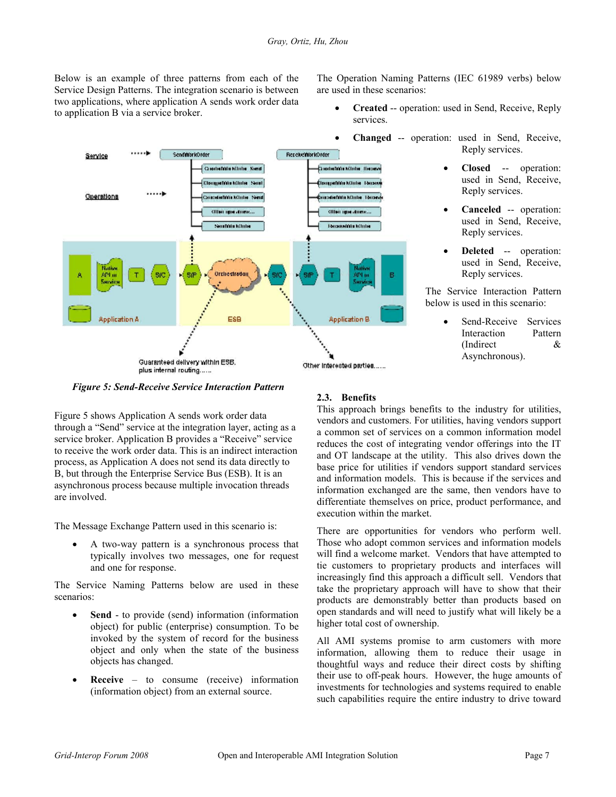Below is an example of three patterns from each of the Service Design Patterns. The integration scenario is between two applications, where application A sends work order data to application B via a service broker.



 *Figure 5: Send-Receive Service Interaction Pattern* 

Figure 5 shows Application A sends work order data through a "Send" service at the integration layer, acting as a service broker. Application B provides a "Receive" service to receive the work order data. This is an indirect interaction process, as Application A does not send its data directly to B, but through the Enterprise Service Bus (ESB). It is an asynchronous process because multiple invocation threads are involved.

The Message Exchange Pattern used in this scenario is:

• A two-way pattern is a synchronous process that typically involves two messages, one for request and one for response.

The Service Naming Patterns below are used in these scenarios:

- Send to provide (send) information (information object) for public (enterprise) consumption. To be invoked by the system of record for the business object and only when the state of the business objects has changed.
- **Receive** to consume (receive) information (information object) from an external source.

The Operation Naming Patterns (IEC 61989 verbs) below are used in these scenarios:

- **Created** -- operation: used in Send, Receive, Reply services.
- **Changed** -- operation: used in Send, Receive, Reply services.
	- **Closed** -- operation: used in Send, Receive, Reply services.
	- Canceled -- operation: used in Send, Receive, Reply services.
	- **Deleted** -- operation: used in Send, Receive, Reply services.

The Service Interaction Pattern below is used in this scenario:

> Send-Receive Services Interaction Pattern (Indirect & Asynchronous).

# **2.3. Benefits**

This approach brings benefits to the industry for utilities, vendors and customers. For utilities, having vendors support a common set of services on a common information model reduces the cost of integrating vendor offerings into the IT and OT landscape at the utility. This also drives down the base price for utilities if vendors support standard services and information models. This is because if the services and information exchanged are the same, then vendors have to differentiate themselves on price, product performance, and execution within the market.

There are opportunities for vendors who perform well. Those who adopt common services and information models will find a welcome market. Vendors that have attempted to tie customers to proprietary products and interfaces will increasingly find this approach a difficult sell. Vendors that take the proprietary approach will have to show that their products are demonstrably better than products based on open standards and will need to justify what will likely be a higher total cost of ownership.

All AMI systems promise to arm customers with more information, allowing them to reduce their usage in thoughtful ways and reduce their direct costs by shifting their use to off-peak hours. However, the huge amounts of investments for technologies and systems required to enable such capabilities require the entire industry to drive toward